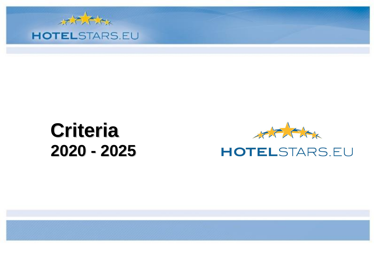

## **Criteria 2020 - 2025**



## **HOTELSTARS.EU**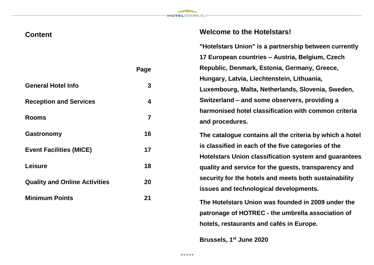

## **Welcome to the Hotelstars!**

**"Hotelstars Union" is a partnership between currently 17 European countries – Austria, Belgium, Czech Republic, Denmark, Estonia, Germany, Greece, Hungary, Latvia, Liechtenstein, Lithuania, Luxembourg, Malta, Netherlands, Slovenia, Sweden, Switzerland – and some observers, providing a harmonised hotel classification with common criteria and procedures.**

**The catalogue contains all the criteria by which a hotel is classified in each of the five categories of the Hotelstars Union classification system and guarantees quality and service for the guests, transparency and security for the hotels and meets both sustainability issues and technological developments.**

**The Hotelstars Union was founded in 2009 under the patronage of HOTREC - the umbrella association of hotels, restaurants and cafés in Europe.**

**Brussels, 1 st June 2020**

|                                      | Page |
|--------------------------------------|------|
| <b>General Hotel Info</b>            | 3    |
| <b>Reception and Services</b>        | 4    |
| <b>Rooms</b>                         | 7    |
| Gastronomy                           | 16   |
| <b>Event Facilities (MICE)</b>       | 17   |
| <b>Leisure</b>                       | 18   |
| <b>Quality and Online Activities</b> | 20   |
| <b>Minimum Points</b>                | 21   |

**Content**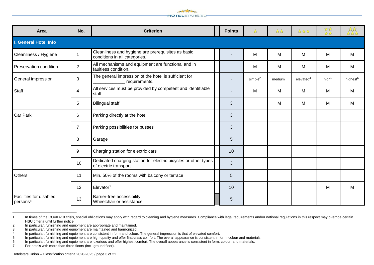

| Area                                                   | No.            | <b>Criterion</b>                                                                                 | <b>Points</b> | ☆                   | ***                 | ****                  | ***               | ***                  |
|--------------------------------------------------------|----------------|--------------------------------------------------------------------------------------------------|---------------|---------------------|---------------------|-----------------------|-------------------|----------------------|
| I. General Hotel Info                                  |                |                                                                                                  |               |                     |                     |                       |                   |                      |
| Cleanliness / Hygiene                                  |                | Cleanliness and hygiene are prerequisites as basic<br>conditions in all categories. <sup>1</sup> | ٠             | M                   | M                   | M                     | M                 | M                    |
| Preservation condition                                 | $\overline{2}$ | All mechanisms and equipment are functional and in<br>faultless condition.                       |               | M                   | M                   | M                     | М                 | М                    |
| General impression                                     | 3              | The general impression of the hotel is sufficient for<br>requirements.                           | ٠             | simple <sup>2</sup> | medium <sup>3</sup> | elevated <sup>4</sup> | high <sup>5</sup> | highest <sup>6</sup> |
| Staff                                                  | 4              | All services must be provided by competent and identifiable<br>staff.                            |               | М                   | м                   | M                     | М                 | м                    |
|                                                        | 5              | <b>Bilingual staff</b>                                                                           | 3             |                     | M                   | M                     | M                 | M                    |
| <b>Car Park</b>                                        | 6              | Parking directly at the hotel                                                                    | 3             |                     |                     |                       |                   |                      |
|                                                        | $\overline{7}$ | Parking possibilities for busses                                                                 | 3             |                     |                     |                       |                   |                      |
|                                                        | 8              | Garage                                                                                           | 5             |                     |                     |                       |                   |                      |
|                                                        | 9              | Charging station for electric cars                                                               | 10            |                     |                     |                       |                   |                      |
|                                                        | 10             | Dedicated charging station for electric bicycles or other types<br>of electric transport         | 3             |                     |                     |                       |                   |                      |
| Others                                                 | 11             | Min. 50% of the rooms with balcony or terrace                                                    | 5             |                     |                     |                       |                   |                      |
|                                                        | 12             | Elevator <sup>7</sup>                                                                            | 10            |                     |                     |                       | M                 | м                    |
| <b>Facilities for disabled</b><br>persons <sup>8</sup> | 13             | Barrier-free accessibility<br>Wheelchair or assistance                                           | 5             |                     |                     |                       |                   |                      |

<sup>1</sup> In times of the COVID-19 crisis, special obligations may apply with regard to cleaning and hygiene measures. Compliance with legal requirements and/or national regulations in this respect may override certain HSU criteria until further notice.

<sup>2</sup> In particular, furnishing and equipment are appropriate and maintained.

<sup>3</sup> In particular, furnishing and equipment are maintained and harmonized.

<sup>1</sup> In particular, furnishing and equipment are consistent in form and colour. The general impression is that of elevated comfort.<br>15 In particular, furnishing and equipment are high-quality and offer first-class comfort. Th

In particular, furnishing and equipment are high-quality and offer first-class comfort. The overall appearance is consistent in form, colour and materials.<br>
In particular, furnishing and equipment are luxurious and offer h

<sup>6</sup> In particular, furnishing and equipment are luxurious and offer highest comfort. The overall appearance is consistent in form, colour, and materials.<br>7 For hotels with more than three floors (incl. ground floor).

For hotels with more than three floors (incl. ground floor).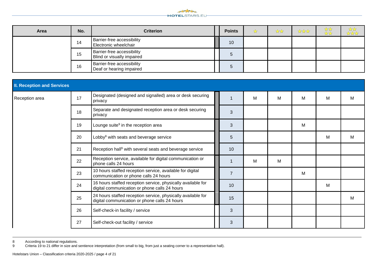

| Area | No. | <b>Criterion</b>                                              | <b>Points</b> | ☆ | ☆☆ | **** | ☆☆<br>$\frac{\lambda}{\lambda}$ | ू प्रे प्रे<br>प्रे प्रे प्रे |
|------|-----|---------------------------------------------------------------|---------------|---|----|------|---------------------------------|-------------------------------|
|      | 14  | <b>Barrier-free accessibility</b><br>Electronic wheelchair    | 10            |   |    |      |                                 |                               |
|      | 15  | Barrier-free accessibility<br>Blind or visually impaired      | $\mathcal{D}$ |   |    |      |                                 |                               |
|      | 16  | <b>Barrier-free accessibility</b><br>Deaf or hearing impaired | $\circ$       |   |    |      |                                 |                               |

| <b>II. Reception and Services</b> |    |                                                                                                               |  |                |   |   |   |   |   |
|-----------------------------------|----|---------------------------------------------------------------------------------------------------------------|--|----------------|---|---|---|---|---|
| Reception area                    | 17 | Designated (designed and signalled) area or desk securing<br>privacy                                          |  | $\mathbf{1}$   | M | M | M | M | M |
|                                   | 18 | Separate and designated reception area or desk securing<br>privacy                                            |  | 3              |   |   |   |   |   |
|                                   | 19 | Lounge suite <sup>9</sup> in the reception area                                                               |  | 3              |   |   | M |   |   |
|                                   | 20 | Lobby <sup>9</sup> with seats and beverage service                                                            |  | 5              |   |   |   | M | M |
|                                   | 21 | Reception hall <sup>9</sup> with several seats and beverage service                                           |  | 10             |   |   |   |   |   |
|                                   | 22 | Reception service, available for digital communication or<br>phone calls 24 hours                             |  | $\mathbf 1$    | м | м |   |   |   |
|                                   | 23 | 10 hours staffed reception service, available for digital<br>communication or phone calls 24 hours            |  | $\overline{7}$ |   |   | M |   |   |
|                                   | 24 | 16 hours staffed reception service, physically available for<br>digital communication or phone calls 24 hours |  | 10             |   |   |   | M |   |
|                                   | 25 | 24 hours staffed reception service, physically available for<br>digital communication or phone calls 24 hours |  | 15             |   |   |   |   | M |
|                                   | 26 | Self-check-in facility / service                                                                              |  | 3              |   |   |   |   |   |
|                                   | 27 | Self-check-out facility / service                                                                             |  | 3              |   |   |   |   |   |

8 According to national regulations.<br>9 Criteria 19 to 21 differ in size and s

 $\overline{a}$ 

Criteria 19 to 21 differ in size and sentience interpretation (from small to big, from just a seating corner to a representative hall).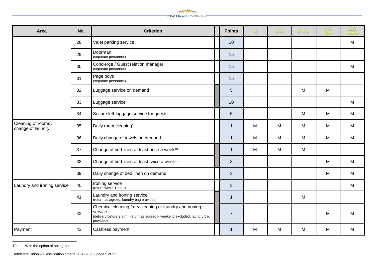

| Area                                     | No. | <b>Criterion</b>                                                                                                                                             | <b>Points</b>  | ☆ | $\frac{1}{2}$ | **** | *** | *** |
|------------------------------------------|-----|--------------------------------------------------------------------------------------------------------------------------------------------------------------|----------------|---|---------------|------|-----|-----|
|                                          | 28  | Valet parking service                                                                                                                                        | 10             |   |               |      |     | M   |
|                                          | 29  | Doorman<br>(separate personnel)                                                                                                                              | 15             |   |               |      |     |     |
|                                          | 30  | Concierge / Guest relation manager<br>(separate personnel)                                                                                                   | 15             |   |               |      |     | M   |
|                                          | 31  | Page boys<br>(separate personnel)                                                                                                                            | 15             |   |               |      |     |     |
|                                          | 32  | Luggage service on demand                                                                                                                                    | 5              |   |               | M    | M   |     |
|                                          | 33  | Luggage service                                                                                                                                              | 10             |   |               |      |     | M   |
|                                          | 34  | Secure left-luggage service for guests                                                                                                                       | 5              |   |               | M    | M   | M   |
| Cleaning of rooms /<br>change of laundry | 35  | Daily room cleaning <sup>10</sup>                                                                                                                            | $\mathbf{1}$   | M | M             | M    | M   | M   |
|                                          | 36  | Daily change of towels on demand                                                                                                                             | $\mathbf{1}$   | M | M             | M    | M   | M   |
|                                          | 37  | Change of bed linen at least once a week <sup>10</sup>                                                                                                       | $\mathbf{1}$   | M | M             | M    |     |     |
|                                          | 38  | Change of bed linen at least twice a week <sup>10</sup>                                                                                                      | 3              |   |               |      | M   | M   |
|                                          | 39  | Daily change of bed linen on demand                                                                                                                          | 3              |   |               |      | M   | M   |
| Laundry and ironing service              | 40  | Ironing service<br>(return within 1 hour)                                                                                                                    | $\mathfrak{S}$ |   |               |      |     | M   |
|                                          | 41  | Laundry and ironing service<br>(return as agreed, laundry bag provided)                                                                                      | $\mathbf{1}$   |   |               | M    |     |     |
|                                          | 42  | Chemical cleaning / dry cleaning or laundry and ironing<br>service<br>(delivery before 9 a.m., return as agreed - weekend excluded, laundry bag<br>provided) | $\overline{7}$ |   |               |      | M   | M   |
| Payment                                  | 43  | Cashless payment                                                                                                                                             | 1              | M | M             | M    | м   | M   |

<sup>10</sup> With the option of opting-out.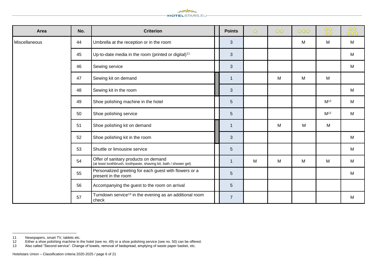

| Area          | No. | <b>Criterion</b>                                                                                          | <b>Points</b>  | ☆ | $\frac{1}{2}$ | **** | ***             | *** |
|---------------|-----|-----------------------------------------------------------------------------------------------------------|----------------|---|---------------|------|-----------------|-----|
| Miscellaneous | 44  | Umbrella at the reception or in the room                                                                  | 3              |   |               | M    | M               | M   |
|               | 45  | Up-to-date media in the room (printed or digital) <sup>11</sup>                                           | $\mathbf{3}$   |   |               |      |                 | M   |
|               | 46  | Sewing service                                                                                            | $\mathbf{3}$   |   |               |      |                 | M   |
|               | 47  | Sewing kit on demand                                                                                      | $\mathbf 1$    |   | M             | M    | M               |     |
|               | 48  | Sewing kit in the room                                                                                    | 3              |   |               |      |                 | M   |
|               | 49  | Shoe polishing machine in the hotel                                                                       | 5              |   |               |      | M <sup>12</sup> | M   |
|               | 50  | Shoe polishing service                                                                                    | 5              |   |               |      | M <sup>12</sup> | M   |
|               | 51  | Shoe polishing kit on demand                                                                              | $\overline{1}$ |   | M             | M    | M               |     |
|               | 52  | Shoe polishing kit in the room                                                                            | $\mathbf{3}$   |   |               |      |                 | M   |
|               | 53  | Shuttle or limousine service                                                                              | 5              |   |               |      |                 | M   |
|               | 54  | Offer of sanitary products on demand<br>(at least toothbrush, toothpaste, shaving kit, bath / shower gel) | $\mathbf{1}$   | M | M             | M    | M               | M   |
|               | 55  | Personalized greeting for each guest with flowers or a<br>present in the room                             | 5              |   |               |      |                 | M   |
|               | 56  | Accompanying the guest to the room on arrival                                                             | 5              |   |               |      |                 |     |
|               | 57  | Turndown service <sup>13</sup> in the evening as an additional room<br>check                              | $\overline{7}$ |   |               |      |                 | M   |

Newspapers, smart TV, tablets etc.

Either a shoe polishing machine in the hotel (see no. 49) or a shoe polishing service (see no. 50) can be offered.

Also called "Second service". Change of towels, removal of bedspread, emptying of waste paper basket, etc.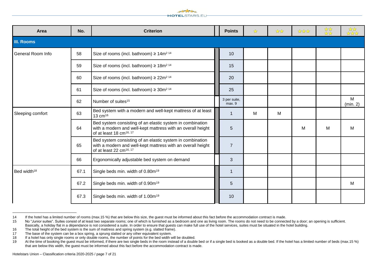

| Area                    | No.  | <b>Criterion</b>                                                                                                                                                | <b>Points</b>          | ☆ | $\frac{1}{2}$ | **** | *** | ***          |
|-------------------------|------|-----------------------------------------------------------------------------------------------------------------------------------------------------------------|------------------------|---|---------------|------|-----|--------------|
| <b>III. Rooms</b>       |      |                                                                                                                                                                 |                        |   |               |      |     |              |
| General Room Info       | 58   | Size of rooms (incl. bathroom) $\geq 14$ m <sup>214</sup>                                                                                                       | 10                     |   |               |      |     |              |
|                         | 59   | Size of rooms (incl. bathroom) $\geq 18$ m <sup>214</sup>                                                                                                       | 15                     |   |               |      |     |              |
|                         | 60   | Size of rooms (incl. bathroom) $\geq 22m^2$ <sup>14</sup>                                                                                                       | 20                     |   |               |      |     |              |
|                         | 61   | Size of rooms (incl. bathroom) $\geq 30$ m <sup>214</sup>                                                                                                       | 25                     |   |               |      |     |              |
|                         | 62   | Number of suites <sup>15</sup>                                                                                                                                  | 3 per suite,<br>max. 9 |   |               |      |     | M<br>(min 2) |
| Sleeping comfort        | 63   | Bed system with a modern and well-kept mattress of at least<br>13 $cm16$                                                                                        | 1                      | M | M             |      |     |              |
|                         | 64   | Bed system consisting of an elastic system in combination<br>with a modern and well-kept mattress with an overall height<br>of at least 18 cm <sup>16, 17</sup> | 5                      |   |               | M    | м   | М            |
|                         | 65   | Bed system consisting of an elastic system in combination<br>with a modern and well-kept mattress with an overall height<br>of at least 22 cm <sup>16, 17</sup> | $\overline{7}$         |   |               |      |     |              |
|                         | 66   | Ergonomically adjustable bed system on demand                                                                                                                   | 3                      |   |               |      |     |              |
| Bed width <sup>18</sup> | 67.1 | Single beds min. width of 0.80m <sup>19</sup>                                                                                                                   | 1                      |   |               |      |     |              |
|                         | 67.2 | Single beds min. width of 0.90m <sup>19</sup>                                                                                                                   | 5                      |   |               |      |     | M            |
|                         | 67.3 | Single beds min. width of 1.00m <sup>19</sup>                                                                                                                   | 10                     |   |               |      |     |              |

<sup>14</sup> If the hotel has a limited number of rooms (max.15 %) that are below this size, the guest must be informed about this fact before the accommodation contract is made.

<sup>15</sup> No "Junior suites". Suites consist of at least two separate rooms; one of which is furnished as a bedroom and one as living room. The rooms do not need to be connected by a door; an opening is sufficient. Basically, a holiday flat in a dépendance is not considered a suite. In order to ensure that guests can make full use of the hotel services, suites must be situated in the hotel building.

<sup>16</sup> The total height of the bed system is the sum of mattress and spring system (e.g. slatted frame).

<sup>17</sup> The base of the system can be a box spring, a sprung slatted or any other equivalent system.

<sup>18</sup> If a hotel has only single rooms or only double rooms, the number of points for the bed width will be doubled.<br>19 At the time of booking the quest must be informed. If there are two single beds in the room instead of a

At the time of booking the quest must be informed, if there are two single beds in the room instead of a double bed or if a single bed is booked as a double bed. If the hotel has a limited number of beds (max.15 %) that are below this width, the guest must be informed about this fact before the accommodation contract is made.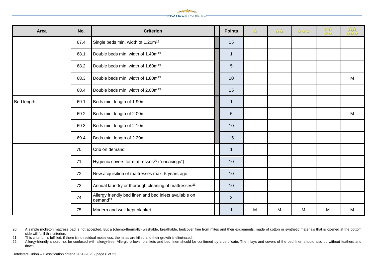

| Area       | No.  | <b>Criterion</b>                                                               | <b>Points</b>   | ☆ | $\frac{1}{2}$ | **** | *** | *** |
|------------|------|--------------------------------------------------------------------------------|-----------------|---|---------------|------|-----|-----|
|            | 67.4 | Single beds min. width of 1.20m <sup>19</sup>                                  | 15              |   |               |      |     |     |
|            | 68.1 | Double beds min. width of 1.40m <sup>19</sup>                                  | $\mathbf{1}$    |   |               |      |     |     |
|            | 68.2 | Double beds min. width of 1.60m <sup>19</sup>                                  | $5\phantom{.0}$ |   |               |      |     |     |
|            | 68.3 | Double beds min. width of 1.80m <sup>19</sup>                                  | 10              |   |               |      |     | M   |
|            | 68.4 | Double beds min. width of 2.00m <sup>19</sup>                                  | 15              |   |               |      |     |     |
| Bed length | 69.1 | Beds min. length of 1.90m                                                      | $\overline{1}$  |   |               |      |     |     |
|            | 69.2 | Beds min. length of 2.00m                                                      | $5\phantom{1}$  |   |               |      |     | M   |
|            | 69.3 | Beds min. length of 2.10m                                                      | 10              |   |               |      |     |     |
|            | 69.4 | Beds min. length of 2.20m                                                      | 15              |   |               |      |     |     |
|            | 70   | Crib on demand                                                                 | $\mathbf{1}$    |   |               |      |     |     |
|            | 71   | Hygienic covers for mattresses <sup>20</sup> ("encasings")                     | 10              |   |               |      |     |     |
|            | 72   | New acquisition of mattresses max. 5 years ago                                 | 10              |   |               |      |     |     |
|            | 73   | Annual laundry or thorough cleaning of mattresses <sup>21</sup>                | 10              |   |               |      |     |     |
|            | 74   | Allergy friendly bed linen and bed inlets available on<br>demand <sup>22</sup> | 3               |   |               |      |     |     |
|            | 75   | Modern and well-kept blanket                                                   | $\mathbf{1}$    | M | M             | M    | M   | M   |

<sup>20</sup> A simple molleton mattress pad is not accepted. But a (chemo-thermally) washable, breathable, bedcover free from mites and their excrements, made of cotton or synthetic materials that is opened at the bottom side will fulfil this criterion.

<sup>21</sup> This criterion is fulfilled, if there is no residual moistness, the mites are killed and their growth is eliminated.

<sup>22</sup> Allergy-friendly should not be confused with allergy-free. Allergic pillows, blankets and bed linen should be confirmed by a certificate. The inlays and covers of the bed linen should also do without feathers and down.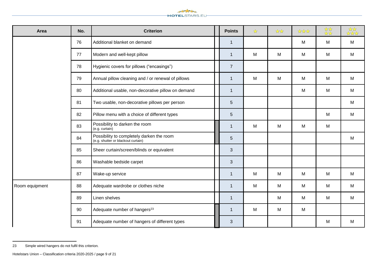

| Area           | No. | <b>Criterion</b>                                                                | <b>Points</b>   | ☆ | $\frac{1}{2}$ | **** | *** | र्<br>से से से |
|----------------|-----|---------------------------------------------------------------------------------|-----------------|---|---------------|------|-----|----------------|
|                | 76  | Additional blanket on demand                                                    | $\overline{1}$  |   |               | M    | M   | M              |
|                | 77  | Modern and well-kept pillow                                                     | $\mathbf{1}$    | M | M             | M    | M   | M              |
|                | 78  | Hygienic covers for pillows ("encasings")                                       | $\overline{7}$  |   |               |      |     |                |
|                | 79  | Annual pillow cleaning and / or renewal of pillows                              | $\mathbf 1$     | M | M             | M    | M   | M              |
|                | 80  | Additional usable, non-decorative pillow on demand                              | $\mathbf{1}$    |   |               | M    | M   | M              |
|                | 81  | Two usable, non-decorative pillows per person                                   | $\overline{5}$  |   |               |      |     | M              |
|                | 82  | Pillow menu with a choice of different types                                    | $5\phantom{.}$  |   |               |      | M   | M              |
|                | 83  | Possibility to darken the room<br>(e.g. curtain)                                | $\mathbf 1$     | M | M             | M    | M   |                |
|                | 84  | Possibility to completely darken the room<br>(e.g. shutter or blackout curtain) | $5\phantom{.0}$ |   |               |      |     | M              |
|                | 85  | Sheer curtain/screen/blinds or equivalent                                       | $\mathfrak{S}$  |   |               |      |     |                |
|                | 86  | Washable bedside carpet                                                         | 3               |   |               |      |     |                |
|                | 87  | Wake-up service                                                                 | $\mathbf{1}$    | M | M             | M    | M   | M              |
| Room equipment | 88  | Adequate wardrobe or clothes niche                                              | $\mathbf 1$     | M | M             | M    | M   | M              |
|                | 89  | Linen shelves                                                                   | $\mathbf{1}$    |   | M             | M    | M   | M              |
|                | 90  | Adequate number of hangers <sup>23</sup>                                        | $\mathbf{1}$    | M | M             | M    |     |                |
|                | 91  | Adequate number of hangers of different types                                   | 3               |   |               |      | M   | M              |

 $\overline{a}$ Simple wired hangers do not fulfil this criterion.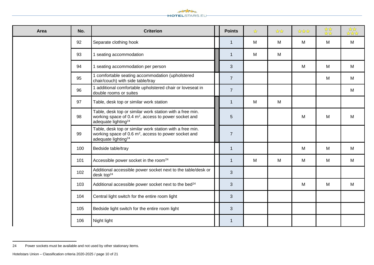

| Area | No. | <b>Criterion</b>                                                                                                                                                | <b>Points</b>  | $\frac{1}{\sqrt{2}}$ | $\frac{1}{2}$ | **** | *** | र्<br>सर्वेदी<br>सर्वेदी |
|------|-----|-----------------------------------------------------------------------------------------------------------------------------------------------------------------|----------------|----------------------|---------------|------|-----|--------------------------|
|      | 92  | Separate clothing hook                                                                                                                                          | $\overline{1}$ | M                    | M             | M    | M   | M                        |
|      | 93  | 1 seating accommodation                                                                                                                                         | $\mathbf{1}$   | M                    | M             |      |     |                          |
|      | 94  | 1 seating accommodation per person                                                                                                                              | 3              |                      |               | M    | M   | M                        |
|      | 95  | 1 comfortable seating accommodation (upholstered<br>chair/couch) with side table/tray                                                                           | $\overline{7}$ |                      |               |      | M   | М                        |
|      | 96  | 1 additional comfortable upholstered chair or loveseat in<br>double rooms or suites                                                                             | $\overline{7}$ |                      |               |      |     | М                        |
|      | 97  | Table, desk top or similar work station                                                                                                                         | 1              | M                    | M             |      |     |                          |
|      | 98  | Table, desk top or similar work station with a free min.<br>working space of 0.4 m <sup>2</sup> , access to power socket and<br>adequate lighting <sup>24</sup> | $\overline{5}$ |                      |               | M    | M   | M                        |
|      | 99  | Table, desk top or similar work station with a free min.<br>working space of 0.6 m <sup>2</sup> , access to power socket and<br>adequate lighting <sup>24</sup> | $\overline{7}$ |                      |               |      |     |                          |
|      | 100 | Bedside table/tray                                                                                                                                              | -1             |                      |               | M    | M   | М                        |
|      | 101 | Accessible power socket in the room <sup>24</sup>                                                                                                               | $\overline{1}$ | M                    | M             | M    | M   | M                        |
|      | 102 | Additional accessible power socket next to the table/desk or<br>desk top $24$                                                                                   | 3              |                      |               |      |     |                          |
|      | 103 | Additional accessible power socket next to the bed <sup>24</sup>                                                                                                | 3              |                      |               | M    | M   | M                        |
|      | 104 | Central light switch for the entire room light                                                                                                                  | 3              |                      |               |      |     |                          |
|      | 105 | Bedside light switch for the entire room light                                                                                                                  | 3              |                      |               |      |     |                          |
|      | 106 | Night light                                                                                                                                                     | 1              |                      |               |      |     |                          |

<sup>24</sup> Power sockets must be available and not used by other stationary items.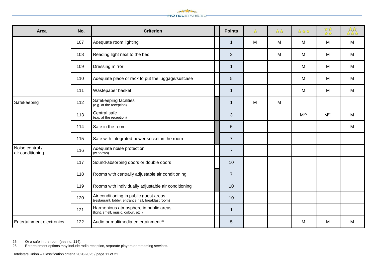

| Area                                | No. | <b>Criterion</b>                                                                             | <b>Points</b>  | ☆ | $\frac{1}{\sqrt{2}}$ | ****            | ***             | र्भू<br>भूमेर |
|-------------------------------------|-----|----------------------------------------------------------------------------------------------|----------------|---|----------------------|-----------------|-----------------|---------------|
|                                     | 107 | Adequate room lighting                                                                       | $\mathbf{1}$   | M | M                    | M               | M               | M             |
|                                     | 108 | Reading light next to the bed                                                                | 3              |   | M                    | M               | M               | M             |
|                                     | 109 | Dressing mirror                                                                              | $\overline{1}$ |   |                      | M               | M               | M             |
|                                     | 110 | Adequate place or rack to put the luggage/suitcase                                           | $\overline{5}$ |   |                      | M               | M               | M             |
|                                     | 111 | Wastepaper basket                                                                            | $\overline{1}$ |   |                      | M               | M               | M             |
| Safekeeping                         | 112 | Safekeeping facilities<br>(e.g. at the reception)                                            | $\mathbf{1}$   | M | M                    |                 |                 |               |
|                                     | 113 | Central safe<br>(e.g. at the reception)                                                      | $\mathbf{3}$   |   |                      | M <sup>25</sup> | M <sup>25</sup> | M             |
|                                     | 114 | Safe in the room                                                                             | $\overline{5}$ |   |                      |                 |                 | M             |
|                                     | 115 | Safe with integrated power socket in the room                                                | $\overline{7}$ |   |                      |                 |                 |               |
| Noise control /<br>air conditioning | 116 | Adequate noise protection<br>(windows)                                                       | $\overline{7}$ |   |                      |                 |                 |               |
|                                     | 117 | Sound-absorbing doors or double doors                                                        | 10             |   |                      |                 |                 |               |
|                                     | 118 | Rooms with centrally adjustable air conditioning                                             | $\overline{7}$ |   |                      |                 |                 |               |
|                                     | 119 | Rooms with individually adjustable air conditioning                                          | 10             |   |                      |                 |                 |               |
|                                     | 120 | Air conditioning in public guest areas<br>(restaurant, lobby, entrance hall, breakfast room) | 10             |   |                      |                 |                 |               |
|                                     | 121 | Harmonious atmosphere in public areas<br>(light, smell, music, colour, etc.)                 | $\mathbf{1}$   |   |                      |                 |                 |               |
| <b>Entertainment electronics</b>    | 122 | Audio or multimedia entertainment <sup>26</sup>                                              | 5              |   |                      | м               | м               | M             |

<sup>25</sup> Or a safe in the room (see no. 114).<br>26 Entertainment options may include ra Entertainment options may include radio reception, separate players or streaming services.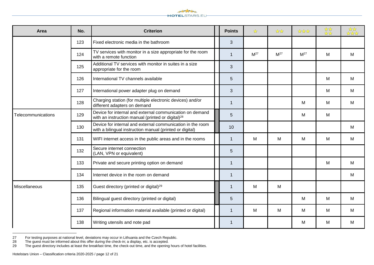

| Area               | No. | <b>Criterion</b>                                                                                                          | <b>Points</b> | $\frac{1}{\sqrt{2}}$ | **              | ****            | *** | *** |
|--------------------|-----|---------------------------------------------------------------------------------------------------------------------------|---------------|----------------------|-----------------|-----------------|-----|-----|
|                    | 123 | Fixed electronic media in the bathroom                                                                                    | 3             |                      |                 |                 |     |     |
|                    | 124 | TV services with monitor in a size appropriate for the room<br>with a remote function                                     | $\mathbf{1}$  | M <sup>27</sup>      | M <sup>27</sup> | M <sup>27</sup> | M   | M   |
|                    | 125 | Additional TV services with monitor in suites in a size<br>appropriate for the room                                       | 3             |                      |                 |                 |     |     |
|                    | 126 | International TV channels available                                                                                       | 5             |                      |                 |                 | M   | M   |
|                    | 127 | International power adapter plug on demand                                                                                | $\mathbf{3}$  |                      |                 |                 | M   | M   |
|                    | 128 | Charging station (for multiple electronic devices) and/or<br>different adapters on demand                                 | $\mathbf{1}$  |                      |                 | м               | M   | M   |
| Telecommunications | 129 | Device for internal and external communication on demand<br>with an instruction manual (printed or digital) <sup>28</sup> | 5             |                      |                 | M               | M   |     |
|                    | 130 | Device for internal and external communication in the room<br>with a bilingual instruction manual (printed or digital)    | 10            |                      |                 |                 |     | M   |
|                    | 131 | WIFI internet access in the public areas and in the rooms                                                                 | $\mathbf{1}$  | M                    | M               | M               | M   | M   |
|                    | 132 | Secure internet connection<br>(LAN, VPN or equivalent)                                                                    | 5             |                      |                 |                 |     |     |
|                    | 133 | Private and secure printing option on demand                                                                              | $\mathbf{1}$  |                      |                 |                 | M   | M   |
|                    | 134 | Internet device in the room on demand                                                                                     | $\mathbf{1}$  |                      |                 |                 |     | M   |
| Miscellaneous      | 135 | Guest directory (printed or digital) <sup>29</sup>                                                                        | $\mathbf{1}$  | M                    | M               |                 |     |     |
|                    | 136 | Bilingual guest directory (printed or digital)                                                                            | 5             |                      |                 | M               | M   | M   |
|                    | 137 | Regional information material available (printed or digital)                                                              | $\mathbf{1}$  | M                    | M               | M               | M   | M   |
|                    | 138 | Writing utensils and note pad                                                                                             | $\mathbf{1}$  |                      |                 | M               | M   | М   |

For testing purposes at national level, deviations may occur in Lithuania and the Czech Republic.

The guest must be informed about this offer during the check-in; a display, etc. is accepted.

The guest directory includes at least the breakfast time, the check-out time, and the opening hours of hotel facilities.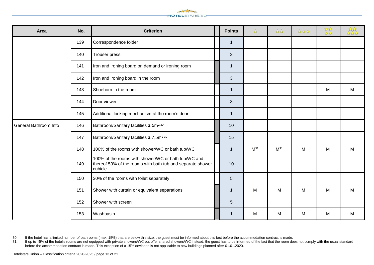

| Area                  | No. | <b>Criterion</b>                                                                                                             | <b>Points</b>  | $\frac{1}{\sqrt{2}}$ | **       | **** | *** | र्<br>से से से |
|-----------------------|-----|------------------------------------------------------------------------------------------------------------------------------|----------------|----------------------|----------|------|-----|----------------|
|                       | 139 | Correspondence folder                                                                                                        | $\mathbf{1}$   |                      |          |      |     |                |
|                       | 140 | Trouser press                                                                                                                | 3              |                      |          |      |     |                |
|                       | 141 | Iron and ironing board on demand or ironing room                                                                             | $\overline{1}$ |                      |          |      |     |                |
|                       | 142 | Iron and ironing board in the room                                                                                           | 3              |                      |          |      |     |                |
|                       | 143 | Shoehorn in the room                                                                                                         | $\overline{1}$ |                      |          |      | M   | M              |
|                       | 144 | Door viewer                                                                                                                  | 3              |                      |          |      |     |                |
|                       | 145 | Additional locking mechanism at the room's door                                                                              | $\overline{1}$ |                      |          |      |     |                |
| General Bathroom Info | 146 | Bathroom/Sanitary facilities $\geq 5$ m <sup>230</sup>                                                                       | 10             |                      |          |      |     |                |
|                       | 147 | Bathroom/Sanitary facilities $\geq 7,5$ m <sup>230</sup>                                                                     | 15             |                      |          |      |     |                |
|                       | 148 | 100% of the rooms with shower/WC or bath tub/WC                                                                              | $\overline{1}$ | $M^{31}$             | $M^{31}$ | M    | M   | M              |
|                       | 149 | 100% of the rooms with shower/WC or bath tub/WC and<br>thereof 50% of the rooms with bath tub and separate shower<br>cubicle | 10             |                      |          |      |     |                |
|                       | 150 | 30% of the rooms with toilet separately                                                                                      | $\overline{5}$ |                      |          |      |     |                |
|                       | 151 | Shower with curtain or equivalent separations                                                                                | $\overline{1}$ | M                    | M        | M    | M   | M              |
|                       | 152 | Shower with screen                                                                                                           | 5              |                      |          |      |     |                |
|                       | 153 | Washbasin                                                                                                                    | -1             | M                    | М        | M    | M   | M              |

If the hotel has a limited number of bathrooms (max. 15%) that are below this size, the guest must be informed about this fact before the accommodation contract is made.

<sup>31</sup> If up to 15% of the hotel's rooms are not equipped with private showers/WC but offer shared showers/WC instead, the guest has to be informed of the fact that the room does not comply with the usual standard before the accommodation contract is made. This exception of a 15% deviation is not applicable to new buildings planned after 01.01.2020.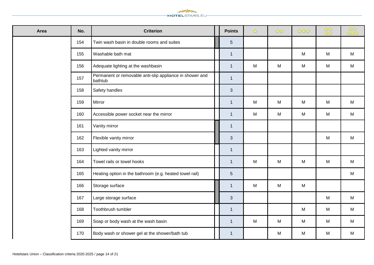

| Area | No. | <b>Criterion</b>                                                    | <b>Points</b>  | $\frac{1}{\sqrt{2}}$ | $\frac{1}{2}$ | **** | *** | *** |
|------|-----|---------------------------------------------------------------------|----------------|----------------------|---------------|------|-----|-----|
|      | 154 | Twin wash basin in double rooms and suites                          | $5\phantom{.}$ |                      |               |      |     |     |
|      | 155 | Washable bath mat                                                   | $\mathbf{1}$   |                      |               | M    | M   | M   |
|      | 156 | Adequate lighting at the washbasin                                  | $\mathbf{1}$   | M                    | ${\sf M}$     | M    | M   | M   |
|      | 157 | Permanent or removable anti-slip appliance in shower and<br>bathtub | $\mathbf{1}$   |                      |               |      |     |     |
|      | 158 | Safety handles                                                      | $\mathfrak{S}$ |                      |               |      |     |     |
|      | 159 | Mirror                                                              | $\mathbf{1}$   | M                    | M             | M    | M   | M   |
|      | 160 | Accessible power socket near the mirror                             | $\mathbf{1}$   | ${\sf M}$            | M             | M    | M   | M   |
|      | 161 | Vanity mirror                                                       | $\mathbf{1}$   |                      |               |      |     |     |
|      | 162 | Flexible vanity mirror                                              | 3              |                      |               |      | M   | M   |
|      | 163 | Lighted vanity mirror                                               | $\mathbf{1}$   |                      |               |      |     |     |
|      | 164 | Towel rails or towel hooks                                          | $\mathbf{1}$   | M                    | M             | M    | M   | M   |
|      | 165 | Heating option in the bathroom (e.g. heated towel rail)             | $\sqrt{5}$     |                      |               |      |     | M   |
|      | 166 | Storage surface                                                     | $\mathbf{1}$   | M                    | M             | M    |     |     |
|      | 167 | Large storage surface                                               | $\mathbf{3}$   |                      |               |      | M   | M   |
|      | 168 | Toothbrush tumbler                                                  | $\mathbf{1}$   |                      |               | M    | M   | M   |
|      | 169 | Soap or body wash at the wash basin                                 | $\mathbf{1}$   | ${\sf M}$            | M             | M    | M   | M   |
|      | 170 | Body wash or shower gel at the shower/bath tub                      | $\mathbf{1}$   |                      | M             | M    | M   | M   |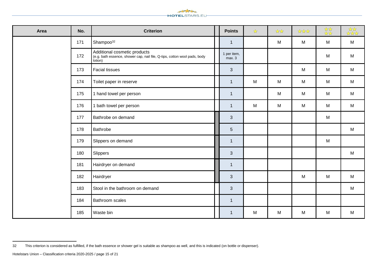

| Area | No. | <b>Criterion</b>                                                                                                     | <b>Points</b>         | $\frac{1}{\sqrt{2}}$ | $\frac{1}{\mathcal{N}}\frac{1}{\mathcal{N}}$ | **** | *** | *** |
|------|-----|----------------------------------------------------------------------------------------------------------------------|-----------------------|----------------------|----------------------------------------------|------|-----|-----|
|      | 171 | Shampoo <sup>32</sup>                                                                                                | $\mathbf{1}$          |                      | M                                            | M    | M   | M   |
|      | 172 | Additional cosmetic products<br>(e.g. bath essence, shower cap, nail file, Q-tips, cotton wool pads, body<br>lotion) | 1 per item,<br>max. 3 |                      |                                              |      | M   | M   |
|      | 173 | <b>Facial tissues</b>                                                                                                | $\mathfrak{S}$        |                      |                                              | M    | M   | M   |
|      | 174 | Toilet paper in reserve                                                                                              | $\mathbf{1}$          | M                    | M                                            | M    | M   | M   |
|      | 175 | 1 hand towel per person                                                                                              | $\mathbf{1}$          |                      | M                                            | M    | M   | M   |
|      | 176 | 1 bath towel per person                                                                                              | $\mathbf{1}$          | M                    | M                                            | M    | M   | M   |
|      | 177 | Bathrobe on demand                                                                                                   | $\mathbf{3}$          |                      |                                              |      | M   |     |
|      | 178 | Bathrobe                                                                                                             | $\overline{5}$        |                      |                                              |      |     | M   |
|      | 179 | Slippers on demand                                                                                                   | $\mathbf{1}$          |                      |                                              |      | M   |     |
|      | 180 | Slippers                                                                                                             | $\mathfrak{S}$        |                      |                                              |      |     | M   |
|      | 181 | Hairdryer on demand                                                                                                  | $\mathbf{1}$          |                      |                                              |      |     |     |
|      | 182 | Hairdryer                                                                                                            | 3                     |                      |                                              | M    | M   | M   |
|      | 183 | Stool in the bathroom on demand                                                                                      | $\mathbf{3}$          |                      |                                              |      |     | M   |
|      | 184 | Bathroom scales                                                                                                      | $\mathbf{1}$          |                      |                                              |      |     |     |
|      | 185 | Waste bin                                                                                                            | $\mathbf{1}$          | M                    | M                                            | M    | M   | M   |

This criterion is considered as fulfilled, if the bath essence or shower gel is suitable as shampoo as well, and this is indicated (on bottle or dispenser).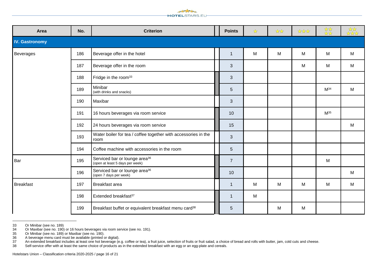

| Area                  | No. | <b>Criterion</b>                                                             | <b>Points</b>  | ☆ | $\frac{1}{\sqrt{2}}$ | *** | ***             | *** |
|-----------------------|-----|------------------------------------------------------------------------------|----------------|---|----------------------|-----|-----------------|-----|
| <b>IV. Gastronomy</b> |     |                                                                              |                |   |                      |     |                 |     |
| Beverages             | 186 | Beverage offer in the hotel                                                  | $\mathbf{1}$   | M | M                    | M   | M               | M   |
|                       | 187 | Beverage offer in the room                                                   | 3              |   |                      | M   | M               | M   |
|                       | 188 | Fridge in the room <sup>33</sup>                                             | 3              |   |                      |     |                 |     |
|                       | 189 | Minibar<br>(with drinks and snacks)                                          | 5              |   |                      |     | $M^{34}$        | M   |
|                       | 190 | Maxibar                                                                      | 3              |   |                      |     |                 |     |
|                       | 191 | 16 hours beverages via room service                                          | 10             |   |                      |     | M <sup>35</sup> |     |
|                       | 192 | 24 hours beverages via room service                                          | 15             |   |                      |     |                 | M   |
|                       | 193 | Water boiler for tea / coffee together with accessories in the<br>room       | $\mathbf{3}$   |   |                      |     |                 |     |
|                       | 194 | Coffee machine with accessories in the room                                  | 5              |   |                      |     |                 |     |
| Bar                   | 195 | Serviced bar or lounge area <sup>36</sup><br>(open at least 5 days per week) | $\overline{7}$ |   |                      |     | M               |     |
|                       | 196 | Serviced bar or lounge area <sup>36</sup><br>(open 7 days per week)          | 10             |   |                      |     |                 | M   |
| <b>Breakfast</b>      | 197 | Breakfast area                                                               | $\mathbf{1}$   | M | M                    | M   | M               | M   |
|                       | 198 | Extended breakfast <sup>37</sup>                                             | 1              | M |                      |     |                 |     |
|                       | 199 | Breakfast buffet or equivalent breakfast menu card <sup>38</sup>             | 5              |   | M                    | M   |                 |     |

<sup>33</sup> Or Minibar (see no. 189)<br>34 Or Maxibar (see no. 190)

<sup>34</sup> Or Maxibar (see no. 190) or 16 hours beverages via room service (see no. 191).

<sup>35</sup> Or Minibar (see no. 189) or Maxibar (see no. 190).

<sup>36</sup> A beverage menu card must be available (printed or digital).

<sup>37</sup> An extended breakfast includes at least one hot beverage (e.g. coffee or tea), a fruit juice, selection of fruits or fruit salad, a choice of bread and rolls with butter, jam, cold cuts and cheese.

<sup>38</sup> Self-service offer with at least the same choice of products as in the extended breakfast with an egg or an egg-plate and cereals.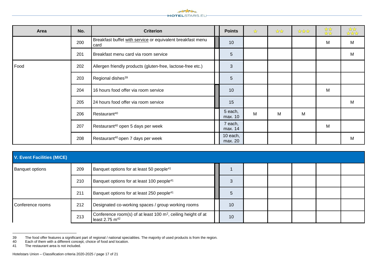

| Area | No. | <b>Criterion</b>                                                   | <b>Points</b>       | $\frac{1}{\sqrt{2}}$ | $\frac{1}{2}$ | **** | *** | र्भू<br>स्रिके |
|------|-----|--------------------------------------------------------------------|---------------------|----------------------|---------------|------|-----|----------------|
|      | 200 | Breakfast buffet with service or equivalent breakfast menu<br>card | 10                  |                      |               |      | M   | M              |
|      | 201 | Breakfast menu card via room service                               | 5                   |                      |               |      |     | M              |
| Food | 202 | Allergen friendly products (gluten-free, lactose-free etc.)        | $\mathbf{3}$        |                      |               |      |     |                |
|      | 203 | Regional dishes <sup>39</sup>                                      | 5                   |                      |               |      |     |                |
|      | 204 | 16 hours food offer via room service                               | 10                  |                      |               |      | M   |                |
|      | 205 | 24 hours food offer via room service                               | 15                  |                      |               |      |     | M              |
|      | 206 | Restaurant <sup>40</sup>                                           | 5 each,<br>max. 10  | M                    | M             | M    |     |                |
|      | 207 | Restaurant <sup>40</sup> open 5 days per week                      | 7 each,<br>max. 14  |                      |               |      | M   |                |
|      | 208 | Restaurant <sup>40</sup> open 7 days per week                      | 10 each,<br>max. 20 |                      |               |      |     | M              |

| V. Event Facilities (MICE) |     |                                                                                                        |  |    |  |  |  |  |  |
|----------------------------|-----|--------------------------------------------------------------------------------------------------------|--|----|--|--|--|--|--|
| <b>Banquet options</b>     | 209 | Banquet options for at least 50 people <sup>41</sup>                                                   |  |    |  |  |  |  |  |
|                            | 210 | Banquet options for at least 100 people <sup>41</sup>                                                  |  |    |  |  |  |  |  |
|                            | 211 | Banquet options for at least 250 people <sup>41</sup>                                                  |  | 5  |  |  |  |  |  |
| Conference rooms           | 212 | Designated co-working spaces / group working rooms                                                     |  | 10 |  |  |  |  |  |
|                            | 213 | Conference room(s) of at least 100 m <sup>2</sup> , ceiling height of at<br>least 2.75 m <sup>42</sup> |  | 10 |  |  |  |  |  |

<sup>39</sup> 39 The food offer features a significant part of regional / national specialities. The majority of used products is from the region.

41 The restaurant area is not included.

<sup>40</sup> Each of them with a different concept, choice of food and location.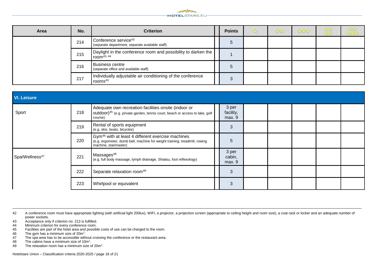

| Area | No. | <b>Criterion</b>                                                                    | <b>Points</b> | ☆ | $\frac{1}{\sqrt{2}}$ | **** | $\frac{1}{2}$<br>$\frac{1}{\sqrt{2}}$ | *** |
|------|-----|-------------------------------------------------------------------------------------|---------------|---|----------------------|------|---------------------------------------|-----|
|      | 214 | Conference service <sup>43</sup><br>(separate department, separate available staff) | 5             |   |                      |      |                                       |     |
|      | 215 | Daylight in the conference room and possibility to darken the<br>room $43, 44$      |               |   |                      |      |                                       |     |
|      | 216 | <b>Business centre</b><br>(separate office and available staff)                     | 5             |   |                      |      |                                       |     |
|      | 217 | Individually adjustable air conditioning of the conference<br>rooms $43$            | 3             |   |                      |      |                                       |     |

| <b>VI. Leisure</b>         |     |                                                                                                                                                                      |  |                              |  |  |  |  |  |
|----------------------------|-----|----------------------------------------------------------------------------------------------------------------------------------------------------------------------|--|------------------------------|--|--|--|--|--|
| Sport                      | 218 | Adequate own recreation facilities onsite (indoor or<br>outdoor) <sup>45</sup> (e.g. private garden, tennis court, beach or access to lake, golf<br>course)          |  | 3 per<br>facility,<br>max. 9 |  |  |  |  |  |
|                            | 219 | Rental of sports equipment<br>(e.g. skis, boats, bicycles)                                                                                                           |  | 3                            |  |  |  |  |  |
|                            | 220 | Gym <sup>46</sup> with at least 4 different exercise machines<br>(e.g. ergometer, dumb bell, machine for weight training, treadmill, rowing<br>machine, stairmaster) |  | 5                            |  |  |  |  |  |
| Spa/Wellness <sup>47</sup> | 221 | Massages <sup>48</sup><br>(e.g. full body massage, lymph drainage, Shiatsu, foot reflexology)                                                                        |  | 3 per<br>cabin,<br>max. 9    |  |  |  |  |  |
|                            | 222 | Separate relaxation room <sup>49</sup>                                                                                                                               |  | 3                            |  |  |  |  |  |
|                            | 223 | Whirlpool or equivalent                                                                                                                                              |  | 3                            |  |  |  |  |  |

42 A conference room must have appropriate lighting (with artificial light 200lux), WIFI, a projector, a projection screen (appropriate to ceiling height and room size), a coat rack or locker and an adequate number of power sockets.

- 43 Acceptance only if criterion no. 213 is fulfilled.<br>44 Minimum criterion for every conference room.
- 44 Minimum criterion for every conference room.<br>45 Facilities are part of the hotel area and possible
- 45 Facilities are part of the hotel area and possible costs of use can be charged to the room.<br>46 The gym has a minimum size of  $20m^2$ .
- 46 The gym has a minimum size of  $20m^2$ .

- 47 The spa area has to be accessible without crossing the conference or the restaurant area.
- 48 The cabins have a minimum size of  $10m^2$ .
- 49 The relaxation room has a minimum size of  $20m^2$ .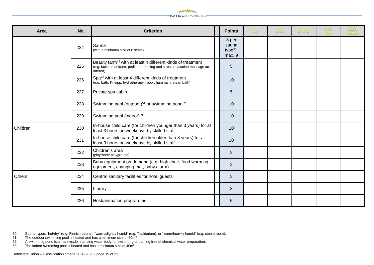

| Area     | No. | <b>Criterion</b>                                                                                                                                                  | <b>Points</b>                                    | ☆ | $\frac{1}{2}$ | **** | *** | र्दे देखें<br>देख देखें |
|----------|-----|-------------------------------------------------------------------------------------------------------------------------------------------------------------------|--------------------------------------------------|---|---------------|------|-----|-------------------------|
|          | 224 | Sauna<br>(with a minimum size of 6 seats)                                                                                                                         | 3 per<br>sauna<br>type <sup>50</sup> ,<br>max. 9 |   |               |      |     |                         |
|          | 225 | Beauty farm <sup>48</sup> with at least 4 different kinds of treatment<br>(e.g. facial, manicure, pedicure, peeling and stress relaxation massage are<br>offered) | $\overline{5}$                                   |   |               |      |     |                         |
|          | 226 | Spa <sup>48</sup> with at least 4 different kinds of treatment<br>(e.g. bath, Kneipp, hydrotherapy, moor, hammam, steambath)                                      | 10                                               |   |               |      |     |                         |
|          | 227 | Private spa cabin                                                                                                                                                 | 5                                                |   |               |      |     |                         |
|          | 228 | Swimming pool (outdoor) <sup>51</sup> or swimming pond <sup>52</sup>                                                                                              | 10                                               |   |               |      |     |                         |
|          | 229 | Swimming pool (indoor) <sup>53</sup>                                                                                                                              | 10                                               |   |               |      |     |                         |
| Children | 230 | In-house child care (for children younger than 3 years) for at<br>least 3 hours on weekdays by skilled staff                                                      | 10                                               |   |               |      |     |                         |
|          | 231 | In-house child care (for children older than 3 years) for at<br>least 3 hours on weekdays by skilled staff                                                        | 10                                               |   |               |      |     |                         |
|          | 232 | Children's area<br>(playroom/ playground)                                                                                                                         | 3                                                |   |               |      |     |                         |
|          | 233 | Baby equipment on demand (e.g. high chair, food warming<br>equipment, changing mat, baby alarm)                                                                   | 3                                                |   |               |      |     |                         |
| Others   | 234 | Central sanitary facilities for hotel guests                                                                                                                      | 3                                                |   |               |      |     |                         |
|          | 235 | Library                                                                                                                                                           | $\mathfrak{B}$                                   |   |               |      |     |                         |
|          | 236 | Host/animation programme                                                                                                                                          | 5                                                |   |               |      |     |                         |

<sup>50</sup> Sauna types: "hot/dry" (e.g. Finnish sauna), "warm/slightly humid" (e.g. Tepidarium), or "warm/heavily humid" (e.g. steam room).

<sup>51</sup> The outdoor swimming pool is heated and has a minimum size of  $60m^2$ .

<sup>52</sup> A swimming pond is a man-made, standing water body for swimming or bathing free of chemical water preparation.<br>53 The indoor swimming pool is heated and has a minimum size of 40m<sup>2</sup>.

<sup>53</sup> The indoor swimming pool is heated and has a minimum size of  $40m^2$ .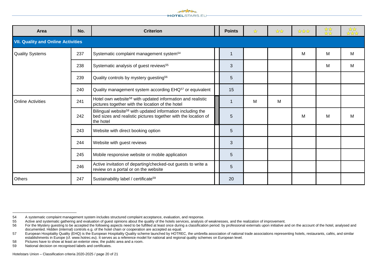

| Area                     | No.                                       | <b>Criterion</b>                                                                                                                                      |  | <b>Points</b> | ☆ | $\frac{1}{2}$ | **** | ** | *** |
|--------------------------|-------------------------------------------|-------------------------------------------------------------------------------------------------------------------------------------------------------|--|---------------|---|---------------|------|----|-----|
|                          | <b>VII. Quality and Online Activities</b> |                                                                                                                                                       |  |               |   |               |      |    |     |
| <b>Quality Systems</b>   | 237                                       | Systematic complaint management system <sup>54</sup>                                                                                                  |  | 1             |   |               | M    | M  | M   |
|                          | 238                                       | Systematic analysis of guest reviews <sup>55</sup>                                                                                                    |  | 3             |   |               |      | M  | м   |
|                          | 239                                       | Quality controls by mystery guesting <sup>56</sup>                                                                                                    |  | 5             |   |               |      |    |     |
|                          | 240                                       | Quality management system according EHQ <sup>57</sup> or equivalent                                                                                   |  | 15            |   |               |      |    |     |
| <b>Online Activities</b> | 241                                       | Hotel own website <sup>58</sup> with updated information and realistic<br>pictures together with the location of the hotel                            |  | 1             | M | M             |      |    |     |
|                          | 242                                       | Bilingual website <sup>58</sup> with updated information including the<br>bed sizes and realistic pictures together with the location of<br>the hotel |  | 5             |   |               | M    | M  | М   |
|                          | 243                                       | Website with direct booking option                                                                                                                    |  | 5             |   |               |      |    |     |
|                          | 244                                       | Website with guest reviews                                                                                                                            |  | 3             |   |               |      |    |     |
|                          | 245                                       | Mobile responsive website or mobile application                                                                                                       |  | 5             |   |               |      |    |     |
|                          | 246                                       | Active invitation of departing/checked-out guests to write a<br>review on a portal or on the website                                                  |  | 5             |   |               |      |    |     |
| <b>Others</b>            | 247                                       | Sustainability label / certificate <sup>59</sup>                                                                                                      |  | 20            |   |               |      |    |     |

<sup>54</sup> A systematic complaint management system includes structured complaint acceptance, evaluation, and response.

<sup>55</sup> Active and systematic gathering and evaluation of guest opinions about the quality of the hotels services, analysis of weaknesses, and the realization of improvement.<br>56 For the Mystery questing to be accepted the follo

For the Mystery questing to be accepted the following aspects need to be fulfilled at least once during a classification period: by professional externals upon initiative and on the account of the hotel, analysed and For t documented. Hidden (internal) controls e.g. of the hotel chain or cooperation are accepted as equal.

<sup>57</sup> European Hospitality Quality (EHQ) is the European Hospitality Quality scheme launched by HOTREC, the umbrella association of national trade associations representing hotels, restaurants, cafés, and similar establishments in Europe (cf. www.hotrec.eu). It serves as a reference model for national and regional quality schemes on European level.

<sup>58</sup> Pictures have to show at least an exterior view, the public area and a room.<br>59 National decision on recognised labels and certificates.

National decision on recognised labels and certificates.